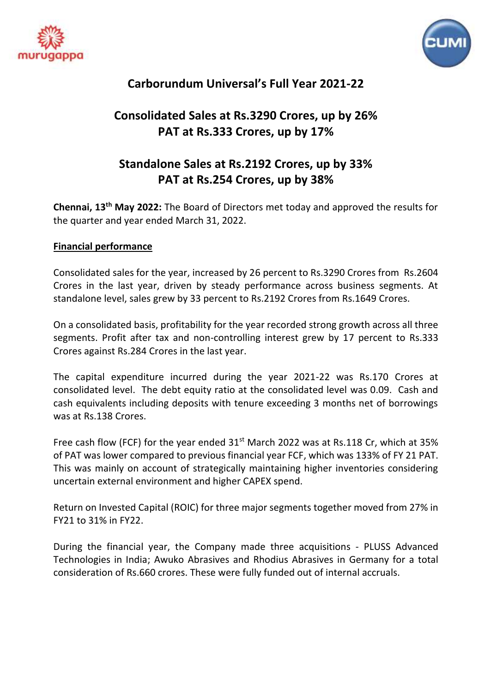



# **Carborundum Universal's Full Year 2021-22**

# **Consolidated Sales at Rs.3290 Crores, up by 26% PAT at Rs.333 Crores, up by 17%**

# **Standalone Sales at Rs.2192 Crores, up by 33% PAT at Rs.254 Crores, up by 38%**

**Chennai, 13 th May 2022:** The Board of Directors met today and approved the results for the quarter and year ended March 31, 2022.

## **Financial performance**

Consolidated sales for the year, increased by 26 percent to Rs.3290 Crores from Rs.2604 Crores in the last year, driven by steady performance across business segments. At standalone level, sales grew by 33 percent to Rs.2192 Crores from Rs.1649 Crores.

On a consolidated basis, profitability for the year recorded strong growth across all three segments. Profit after tax and non-controlling interest grew by 17 percent to Rs.333 Crores against Rs.284 Crores in the last year.

The capital expenditure incurred during the year 2021-22 was Rs.170 Crores at consolidated level. The debt equity ratio at the consolidated level was 0.09. Cash and cash equivalents including deposits with tenure exceeding 3 months net of borrowings was at Rs.138 Crores.

Free cash flow (FCF) for the year ended  $31<sup>st</sup>$  March 2022 was at Rs.118 Cr, which at 35% of PAT was lower compared to previous financial year FCF, which was 133% of FY 21 PAT. This was mainly on account of strategically maintaining higher inventories considering uncertain external environment and higher CAPEX spend.

Return on Invested Capital (ROIC) for three major segments together moved from 27% in FY21 to 31% in FY22.

During the financial year, the Company made three acquisitions - PLUSS Advanced Technologies in India; Awuko Abrasives and Rhodius Abrasives in Germany for a total consideration of Rs.660 crores. These were fully funded out of internal accruals.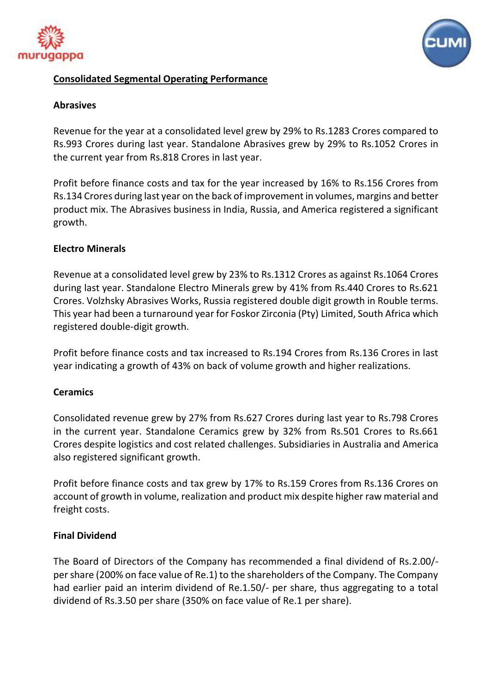



## **Consolidated Segmental Operating Performance**

#### **Abrasives**

Revenue for the year at a consolidated level grew by 29% to Rs.1283 Crores compared to Rs.993 Crores during last year. Standalone Abrasives grew by 29% to Rs.1052 Crores in the current year from Rs.818 Crores in last year.

Profit before finance costs and tax for the year increased by 16% to Rs.156 Crores from Rs.134 Crores during last year on the back of improvement in volumes, margins and better product mix. The Abrasives business in India, Russia, and America registered a significant growth.

### **Electro Minerals**

Revenue at a consolidated level grew by 23% to Rs.1312 Crores as against Rs.1064 Crores during last year. Standalone Electro Minerals grew by 41% from Rs.440 Crores to Rs.621 Crores. Volzhsky Abrasives Works, Russia registered double digit growth in Rouble terms. This year had been a turnaround year for Foskor Zirconia (Pty) Limited, South Africa which registered double-digit growth.

Profit before finance costs and tax increased to Rs.194 Crores from Rs.136 Crores in last year indicating a growth of 43% on back of volume growth and higher realizations.

#### **Ceramics**

Consolidated revenue grew by 27% from Rs.627 Crores during last year to Rs.798 Crores in the current year. Standalone Ceramics grew by 32% from Rs.501 Crores to Rs.661 Crores despite logistics and cost related challenges. Subsidiaries in Australia and America also registered significant growth.

Profit before finance costs and tax grew by 17% to Rs.159 Crores from Rs.136 Crores on account of growth in volume, realization and product mix despite higher raw material and freight costs.

## **Final Dividend**

The Board of Directors of the Company has recommended a final dividend of Rs.2.00/ per share (200% on face value of Re.1) to the shareholders of the Company. The Company had earlier paid an interim dividend of Re.1.50/- per share, thus aggregating to a total dividend of Rs.3.50 per share (350% on face value of Re.1 per share).